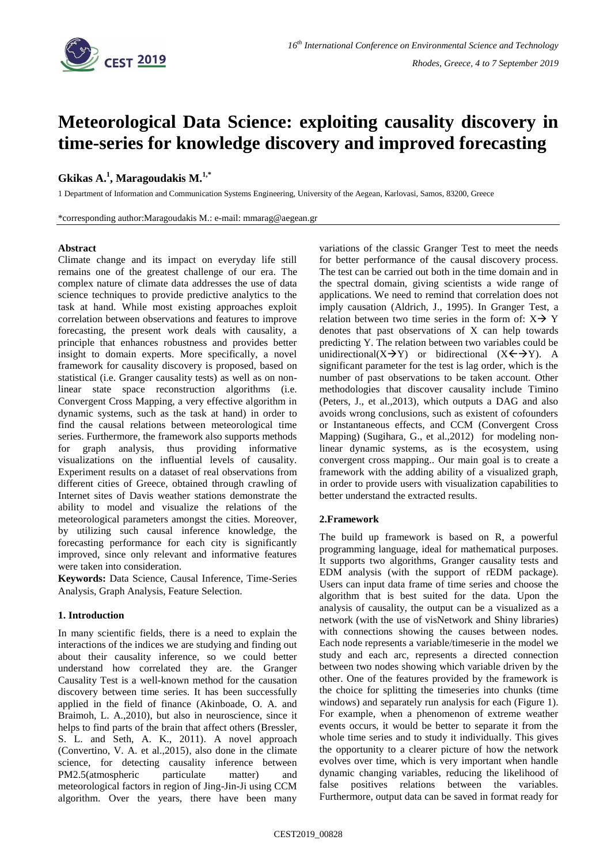

# **Meteorological Data Science: exploiting causality discovery in time-series for knowledge discovery and improved forecasting**

## **Gkikas A. 1 , Maragoudakis M. 1,\***

1 Department of Information and Communication Systems Engineering, University of the Aegean, Karlovasi, Samos, 83200, Greece

\*corresponding author:Maragoudakis M.: e-mail: mmarag@aegean.gr

## **Abstract**

Climate change and its impact on everyday life still remains one of the greatest challenge of our era. The complex nature of climate data addresses the use of data science techniques to provide predictive analytics to the task at hand. While most existing approaches exploit correlation between observations and features to improve forecasting, the present work deals with causality, a principle that enhances robustness and provides better insight to domain experts. More specifically, a novel framework for causality discovery is proposed, based on statistical (i.e. Granger causality tests) as well as on nonlinear state space reconstruction algorithms (i.e. Convergent Cross Mapping, a very effective algorithm in dynamic systems, such as the task at hand) in order to find the causal relations between meteorological time series. Furthermore, the framework also supports methods for graph analysis, thus providing informative visualizations on the influential levels of causality. Experiment results on a dataset of real observations from different cities of Greece, obtained through crawling of Internet sites of Davis weather stations demonstrate the ability to model and visualize the relations of the meteorological parameters amongst the cities. Moreover, by utilizing such causal inference knowledge, the forecasting performance for each city is significantly improved, since only relevant and informative features were taken into consideration.

**Keywords:** Data Science, Causal Inference, Time-Series Analysis, Graph Analysis, Feature Selection.

## **1. Introduction**

In many scientific fields, there is a need to explain the interactions of the indices we are studying and finding out about their causality inference, so we could better understand how correlated they are. the Granger Causality Test is a well-known method for the causation discovery between time series. It has been successfully applied in the field of finance (Akinboade, O. A. and Braimoh, L. A.,2010), but also in neuroscience, since it helps to find parts of the brain that affect others (Bressler, S. L. and Seth, A. K., 2011). A novel approach (Convertino, V. A. et al.,2015), also done in the climate science, for detecting causality inference between PM2.5(atmospheric particulate matter) and meteorological factors in region of Jing-Jin-Ji using CCM algorithm. Over the years, there have been many

variations of the classic Granger Test to meet the needs for better performance of the causal discovery process. The test can be carried out both in the time domain and in the spectral domain, giving scientists a wide range of applications. We need to remind that correlation does not imply causation (Aldrich, J., 1995). In Granger Test, a relation between two time series in the form of:  $X \rightarrow Y$ denotes that past observations of X can help towards predicting Y. The relation between two variables could be unidirectional(X $\rightarrow$ Y) or bidirectional (X $\leftarrow$  $\rightarrow$ Y). A significant parameter for the test is lag order, which is the number of past observations to be taken account. Other methodologies that discover causality include Timino (Peters, J., et al.,2013), which outputs a DAG and also avoids wrong conclusions, such as existent of cofounders or Instantaneous effects, and CCM (Convergent Cross Mapping) (Sugihara, G., et al.,2012) for modeling nonlinear dynamic systems, as is the ecosystem, using convergent cross mapping.. Our main goal is to create a framework with the adding ability of a visualized graph, in order to provide users with visualization capabilities to better understand the extracted results.

## **2.Framework**

The build up framework is based on R, a powerful programming language, ideal for mathematical purposes. It supports two algorithms, Granger causality tests and EDM analysis (with the support of rEDM package). Users can input data frame of time series and choose the algorithm that is best suited for the data. Upon the analysis of causality, the output can be a visualized as a network (with the use of visNetwork and Shiny libraries) with connections showing the causes between nodes. Each node represents a variable/timeserie in the model we study and each arc, represents a directed connection between two nodes showing which variable driven by the other. One of the features provided by the framework is the choice for splitting the timeseries into chunks (time windows) and separately run analysis for each (Figure 1). For example, when a phenomenon of extreme weather events occurs, it would be better to separate it from the whole time series and to study it individually. This gives the opportunity to a clearer picture of how the network evolves over time, which is very important when handle dynamic changing variables, reducing the likelihood of false positives relations between the variables. Furthermore, output data can be saved in format ready for